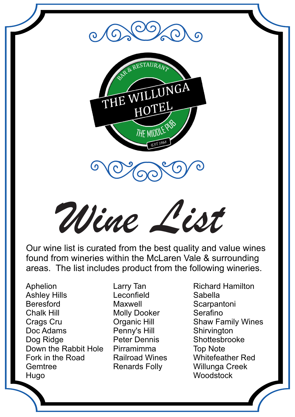

*Wine List*

Our wine list is curated from the best quality and value wines found from wineries within the McLaren Vale & surrounding areas. The list includes product from the following wineries.

Aphelion Ashley Hills Beresford Chalk Hill Crags Cru Doc Adams Dog Ridge Down the Rabbit Hole Fork in the Road **Gemtree** Hugo

Larry Tan Leconfield Maxwell Molly Dooker Organic Hill Penny's Hill Peter Dennis Pirramimma Railroad Wines Renards Folly

Richard Hamilton Sabella **Scarpantoni** Serafino Shaw Family Wines **Shirvington** Shottesbrooke Top Note Whitefeather Red Willunga Creek **Woodstock**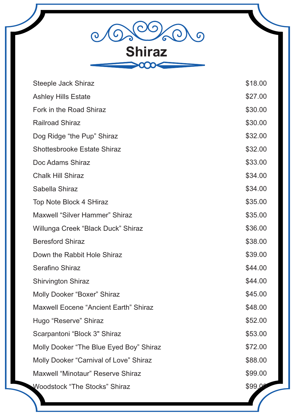06 600  $\overline{G}$  $\mathcal{O}$ Ò **Shiraz**

| Steeple Jack Shiraz                          | \$18.00 |
|----------------------------------------------|---------|
| <b>Ashley Hills Estate</b>                   | \$27.00 |
| Fork in the Road Shiraz                      | \$30.00 |
| <b>Railroad Shiraz</b>                       | \$30.00 |
| Dog Ridge "the Pup" Shiraz                   | \$32.00 |
| <b>Shottesbrooke Estate Shiraz</b>           | \$32.00 |
| Doc Adams Shiraz                             | \$33.00 |
| <b>Chalk Hill Shiraz</b>                     | \$34.00 |
| Sabella Shiraz                               | \$34.00 |
| <b>Top Note Block 4 SHiraz</b>               | \$35.00 |
| <b>Maxwell "Silver Hammer" Shiraz</b>        | \$35.00 |
| Willunga Creek "Black Duck" Shiraz           | \$36.00 |
| <b>Beresford Shiraz</b>                      | \$38.00 |
| Down the Rabbit Hole Shiraz                  | \$39.00 |
| <b>Serafino Shiraz</b>                       | \$44.00 |
| <b>Shirvington Shiraz</b>                    | \$44.00 |
| Molly Dooker "Boxer" Shiraz                  | \$45.00 |
| <b>Maxwell Eocene "Ancient Earth" Shiraz</b> | \$48.00 |
| Hugo "Reserve" Shiraz                        | \$52.00 |
| Scarpantoni "Block 3" Shiraz                 | \$53.00 |
| Molly Dooker "The Blue Eyed Boy" Shiraz      | \$72.00 |
| Molly Dooker "Carnival of Love" Shiraz       | \$88.00 |
| Maxwell "Minotaur" Reserve Shiraz            | \$99.00 |
| <b>Woodstock "The Stocks" Shiraz</b>         | \$99.0  |
|                                              |         |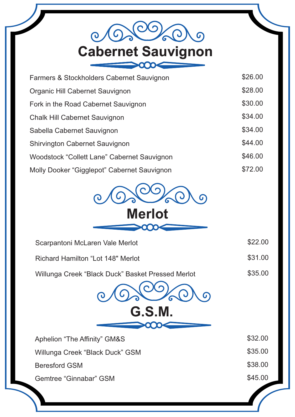## 606  $\odot$ Cabernet Sauvignon

| Farmers & Stockholders Cabernet Sauvignon   | \$26.00 |
|---------------------------------------------|---------|
| Organic Hill Cabernet Sauvignon             | \$28.00 |
| Fork in the Road Cabernet Sauvignon         | \$30.00 |
| <b>Chalk Hill Cabernet Sauvignon</b>        | \$34.00 |
| Sabella Cabernet Sauvignon                  | \$34.00 |
| <b>Shirvington Cabernet Sauvignon</b>       | \$44.00 |
| Woodstock "Collett Lane" Cabernet Sauvignon | \$46.00 |
| Molly Dooker "Gigglepot" Cabernet Sauvignon | \$72.00 |



 $\infty$ 

| Scarpantoni McLaren Vale Merlot                   | \$22.00 |  |
|---------------------------------------------------|---------|--|
| Richard Hamilton "Lot 148" Merlot                 | \$31.00 |  |
| Willunga Creek "Black Duck" Basket Pressed Merlot | \$35.00 |  |
| G.S.M.                                            |         |  |
| Aphelion "The Affinity" GM&S                      | \$32.00 |  |
| Willunga Creek "Black Duck" GSM                   | \$35.00 |  |
| <b>Beresford GSM</b>                              | \$38.00 |  |
| Gemtree "Ginnabar" GSM                            | \$45.00 |  |
|                                                   |         |  |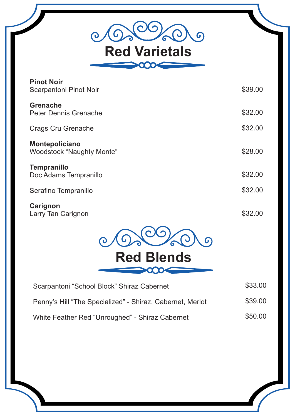06 600  $\overline{G}$  $\overline{\mathbf{O}}$ Red Varietals

| <b>Pinot Noir</b><br><b>Scarpantoni Pinot Noir</b>        | \$39.00 |
|-----------------------------------------------------------|---------|
| <b>Grenache</b><br><b>Peter Dennis Grenache</b>           | \$32.00 |
| <b>Crags Cru Grenache</b>                                 | \$32.00 |
| <b>Montepoliciano</b><br><b>Woodstock "Naughty Monte"</b> | \$28.00 |
| <b>Tempranillo</b><br>Doc Adams Tempranillo               | \$32.00 |
| Serafino Tempranillo                                      | \$32.00 |
| Carignon<br>Larry Tan Carignon                            | \$32.00 |
|                                                           |         |
| <b>Red Blends</b>                                         |         |
|                                                           |         |
| Scarpantoni "School Block" Shiraz Cabernet                | \$33.00 |
| Penny's Hill "The Specialized" - Shiraz, Cabernet, Merlot | \$39.00 |
| White Feather Red "Unroughed" - Shiraz Cabernet           | \$50.00 |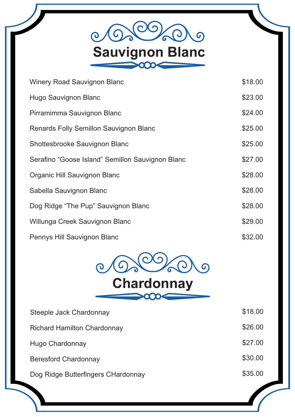

| <b>Winery Road Sauvignon Blanc</b>               | \$18.00 |
|--------------------------------------------------|---------|
| Hugo Sauvignon Blanc                             | \$23.00 |
| Pirramimma Sauvignon Blanc                       | \$24.00 |
| Renards Folly Semillon Sauvignon Blanc           | \$25.00 |
| Shottesbrooke Sauvignon Blanc                    | \$25.00 |
| Serafino "Goose Island" Semillon Sauvignon Blanc | \$27.00 |
| Organic Hill Sauvignon Blanc                     | \$28.00 |
| Sabella Sauvignon Blanc                          | \$28.00 |
| Dog Ridge "The Pup" Sauvignon Blanc              | \$28.00 |
| Willunga Creek Sauvignon Blanc                   | \$29.00 |
| Pennys Hill Sauvignon Blanc                      | \$32.00 |



| Steeple Jack Chardonnay            | \$18.00 |
|------------------------------------|---------|
| <b>Richard Hamilton Chardonnay</b> | \$26.00 |
| Hugo Chardonnay                    | \$27.00 |
| <b>Beresford Chardonnay</b>        | \$30.00 |
| Dog Ridge Butterfingers CHardonnay | \$35.00 |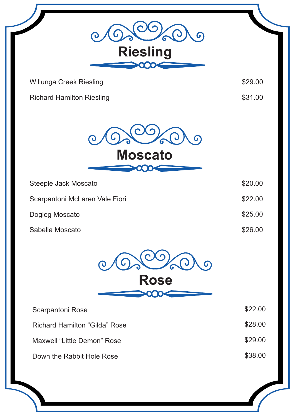|                                      | 6        |
|--------------------------------------|----------|
| <b>Riesling</b>                      |          |
| Willunga Creek Riesling              | \$29.00  |
| <b>Richard Hamilton Riesling</b>     | \$31.00  |
| <b>Moscato</b>                       | $\Omega$ |
| Steeple Jack Moscato                 | \$20.00  |
| Scarpantoni McLaren Vale Fiori       | \$22.00  |
| Dogleg Moscato                       | \$25.00  |
| Sabella Moscato                      | \$26.00  |
|                                      | 6        |
| <b>Rose</b>                          |          |
| Scarpantoni Rose                     | \$22.00  |
| <b>Richard Hamilton "Gilda" Rose</b> | \$28.00  |
| Maxwell "Little Demon" Rose          | \$29.00  |